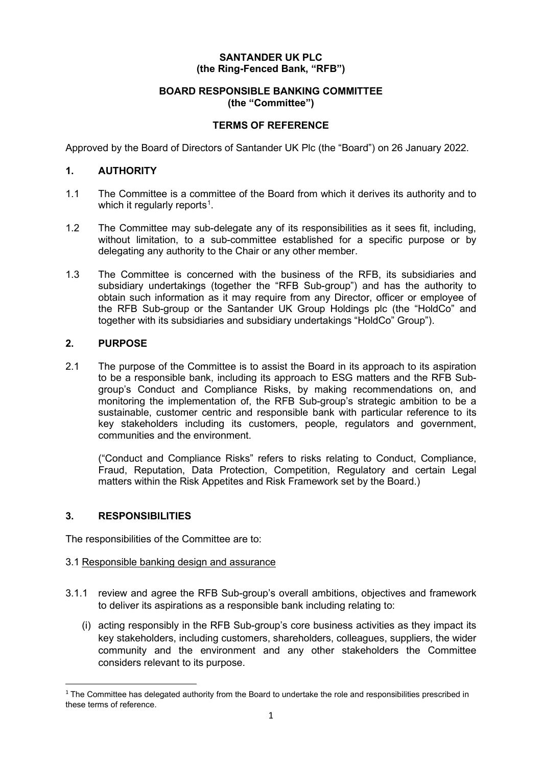# **SANTANDER UK PLC (the Ring-Fenced Bank, "RFB")**

## **BOARD RESPONSIBLE BANKING COMMITTEE (the "Committee")**

# **TERMS OF REFERENCE**

Approved by the Board of Directors of Santander UK Plc (the "Board") on 26 January 2022.

# **1. AUTHORITY**

- 1.1 The Committee is a committee of the Board from which it derives its authority and to which it regularly reports<sup>[1](#page-0-0)</sup>.
- 1.2 The Committee may sub-delegate any of its responsibilities as it sees fit, including, without limitation, to a sub-committee established for a specific purpose or by delegating any authority to the Chair or any other member.
- 1.3 The Committee is concerned with the business of the RFB, its subsidiaries and subsidiary undertakings (together the "RFB Sub-group") and has the authority to obtain such information as it may require from any Director, officer or employee of the RFB Sub-group or the Santander UK Group Holdings plc (the "HoldCo" and together with its subsidiaries and subsidiary undertakings "HoldCo" Group").

## **2. PURPOSE**

2.1 The purpose of the Committee is to assist the Board in its approach to its aspiration to be a responsible bank, including its approach to ESG matters and the RFB Subgroup's Conduct and Compliance Risks, by making recommendations on, and monitoring the implementation of, the RFB Sub-group's strategic ambition to be a sustainable, customer centric and responsible bank with particular reference to its key stakeholders including its customers, people, regulators and government, communities and the environment.

("Conduct and Compliance Risks" refers to risks relating to Conduct, Compliance, Fraud, Reputation, Data Protection, Competition, Regulatory and certain Legal matters within the Risk Appetites and Risk Framework set by the Board.)

# **3. RESPONSIBILITIES**

The responsibilities of the Committee are to:

## 3.1 Responsible banking design and assurance

- 3.1.1 review and agree the RFB Sub-group's overall ambitions, objectives and framework to deliver its aspirations as a responsible bank including relating to:
	- (i) acting responsibly in the RFB Sub-group's core business activities as they impact its key stakeholders, including customers, shareholders, colleagues, suppliers, the wider community and the environment and any other stakeholders the Committee considers relevant to its purpose.

<span id="page-0-0"></span> $1$  The Committee has delegated authority from the Board to undertake the role and responsibilities prescribed in these terms of reference.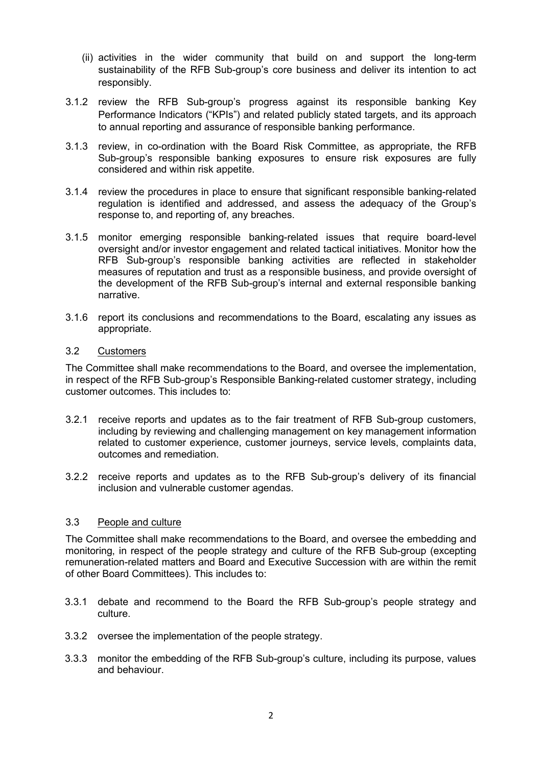- (ii) activities in the wider community that build on and support the long-term sustainability of the RFB Sub-group's core business and deliver its intention to act responsibly.
- 3.1.2 review the RFB Sub-group's progress against its responsible banking Key Performance Indicators ("KPIs") and related publicly stated targets, and its approach to annual reporting and assurance of responsible banking performance.
- 3.1.3 review, in co-ordination with the Board Risk Committee, as appropriate, the RFB Sub-group's responsible banking exposures to ensure risk exposures are fully considered and within risk appetite.
- 3.1.4 review the procedures in place to ensure that significant responsible banking-related regulation is identified and addressed, and assess the adequacy of the Group's response to, and reporting of, any breaches.
- 3.1.5 monitor emerging responsible banking-related issues that require board-level oversight and/or investor engagement and related tactical initiatives. Monitor how the RFB Sub-group's responsible banking activities are reflected in stakeholder measures of reputation and trust as a responsible business, and provide oversight of the development of the RFB Sub-group's internal and external responsible banking narrative.
- 3.1.6 report its conclusions and recommendations to the Board, escalating any issues as appropriate.

## 3.2 Customers

The Committee shall make recommendations to the Board, and oversee the implementation, in respect of the RFB Sub-group's Responsible Banking-related customer strategy, including customer outcomes. This includes to:

- 3.2.1 receive reports and updates as to the fair treatment of RFB Sub-group customers, including by reviewing and challenging management on key management information related to customer experience, customer journeys, service levels, complaints data, outcomes and remediation.
- 3.2.2 receive reports and updates as to the RFB Sub-group's delivery of its financial inclusion and vulnerable customer agendas.

#### 3.3 People and culture

The Committee shall make recommendations to the Board, and oversee the embedding and monitoring, in respect of the people strategy and culture of the RFB Sub-group (excepting remuneration-related matters and Board and Executive Succession with are within the remit of other Board Committees). This includes to:

- 3.3.1 debate and recommend to the Board the RFB Sub-group's people strategy and culture.
- 3.3.2 oversee the implementation of the people strategy.
- 3.3.3 monitor the embedding of the RFB Sub-group's culture, including its purpose, values and behaviour.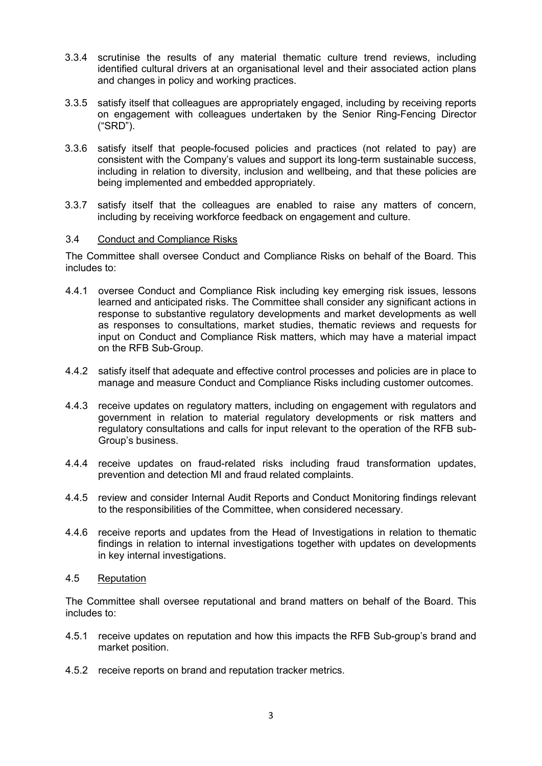- 3.3.4 scrutinise the results of any material thematic culture trend reviews, including identified cultural drivers at an organisational level and their associated action plans and changes in policy and working practices.
- 3.3.5 satisfy itself that colleagues are appropriately engaged, including by receiving reports on engagement with colleagues undertaken by the Senior Ring-Fencing Director ("SRD").
- 3.3.6 satisfy itself that people-focused policies and practices (not related to pay) are consistent with the Company's values and support its long-term sustainable success, including in relation to diversity, inclusion and wellbeing, and that these policies are being implemented and embedded appropriately.
- 3.3.7 satisfy itself that the colleagues are enabled to raise any matters of concern, including by receiving workforce feedback on engagement and culture.

## 3.4 Conduct and Compliance Risks

The Committee shall oversee Conduct and Compliance Risks on behalf of the Board. This includes to:

- 4.4.1 oversee Conduct and Compliance Risk including key emerging risk issues, lessons learned and anticipated risks. The Committee shall consider any significant actions in response to substantive regulatory developments and market developments as well as responses to consultations, market studies, thematic reviews and requests for input on Conduct and Compliance Risk matters, which may have a material impact on the RFB Sub-Group.
- 4.4.2 satisfy itself that adequate and effective control processes and policies are in place to manage and measure Conduct and Compliance Risks including customer outcomes.
- 4.4.3 receive updates on regulatory matters, including on engagement with regulators and government in relation to material regulatory developments or risk matters and regulatory consultations and calls for input relevant to the operation of the RFB sub-Group's business.
- 4.4.4 receive updates on fraud-related risks including fraud transformation updates, prevention and detection MI and fraud related complaints.
- 4.4.5 review and consider Internal Audit Reports and Conduct Monitoring findings relevant to the responsibilities of the Committee, when considered necessary.
- 4.4.6 receive reports and updates from the Head of Investigations in relation to thematic findings in relation to internal investigations together with updates on developments in key internal investigations.
- 4.5 Reputation

The Committee shall oversee reputational and brand matters on behalf of the Board. This includes to:

- 4.5.1 receive updates on reputation and how this impacts the RFB Sub-group's brand and market position.
- 4.5.2 receive reports on brand and reputation tracker metrics.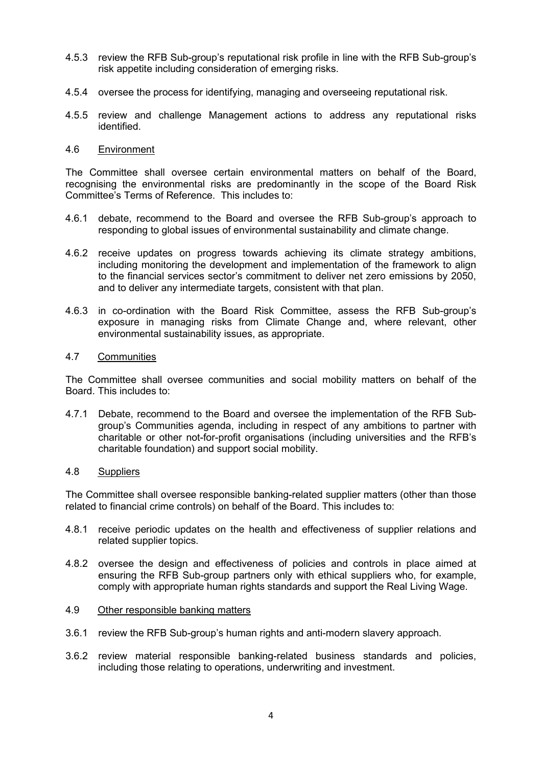- 4.5.3 review the RFB Sub-group's reputational risk profile in line with the RFB Sub-group's risk appetite including consideration of emerging risks.
- 4.5.4 oversee the process for identifying, managing and overseeing reputational risk.
- 4.5.5 review and challenge Management actions to address any reputational risks identified.

### 4.6 Environment

The Committee shall oversee certain environmental matters on behalf of the Board, recognising the environmental risks are predominantly in the scope of the Board Risk Committee's Terms of Reference. This includes to:

- 4.6.1 debate, recommend to the Board and oversee the RFB Sub-group's approach to responding to global issues of environmental sustainability and climate change.
- 4.6.2 receive updates on progress towards achieving its climate strategy ambitions, including monitoring the development and implementation of the framework to align to the financial services sector's commitment to deliver net zero emissions by 2050, and to deliver any intermediate targets, consistent with that plan.
- 4.6.3 in co-ordination with the Board Risk Committee, assess the RFB Sub-group's exposure in managing risks from Climate Change and, where relevant, other environmental sustainability issues, as appropriate.

### 4.7 Communities

The Committee shall oversee communities and social mobility matters on behalf of the Board. This includes to:

4.7.1 Debate, recommend to the Board and oversee the implementation of the RFB Subgroup's Communities agenda, including in respect of any ambitions to partner with charitable or other not-for-profit organisations (including universities and the RFB's charitable foundation) and support social mobility.

#### 4.8 Suppliers

The Committee shall oversee responsible banking-related supplier matters (other than those related to financial crime controls) on behalf of the Board. This includes to:

- 4.8.1 receive periodic updates on the health and effectiveness of supplier relations and related supplier topics.
- 4.8.2 oversee the design and effectiveness of policies and controls in place aimed at ensuring the RFB Sub-group partners only with ethical suppliers who, for example, comply with appropriate human rights standards and support the Real Living Wage.

#### 4.9 Other responsible banking matters

- 3.6.1 review the RFB Sub-group's human rights and anti-modern slavery approach.
- 3.6.2 review material responsible banking-related business standards and policies, including those relating to operations, underwriting and investment.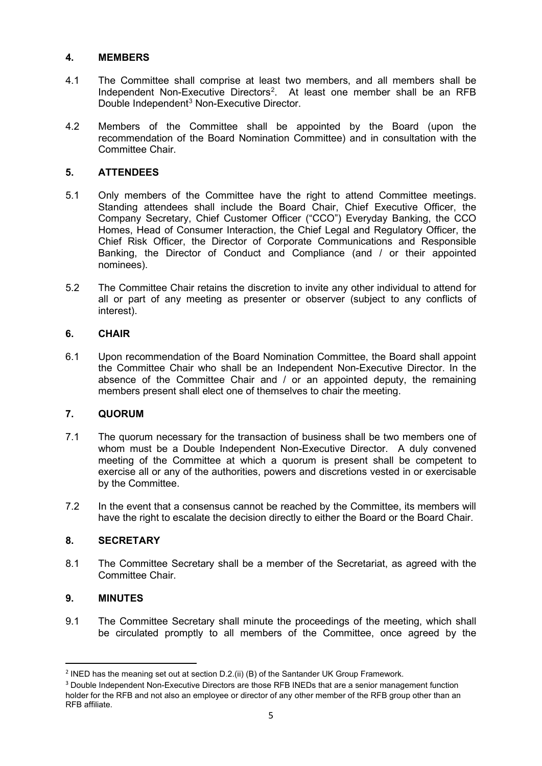# **4. MEMBERS**

- 4.1 The Committee shall comprise at least two members, and all members shall be Independent Non-Executive Directors<sup>[2](#page-4-0)</sup>. At least one member shall be an RFB Double Independent<sup>[3](#page-4-1)</sup> Non-Executive Director.
- 4.2 Members of the Committee shall be appointed by the Board (upon the recommendation of the Board Nomination Committee) and in consultation with the Committee Chair.

# **5. ATTENDEES**

- 5.1 Only members of the Committee have the right to attend Committee meetings. Standing attendees shall include the Board Chair, Chief Executive Officer, the Company Secretary, Chief Customer Officer ("CCO") Everyday Banking, the CCO Homes, Head of Consumer Interaction, the Chief Legal and Regulatory Officer, the Chief Risk Officer, the Director of Corporate Communications and Responsible Banking, the Director of Conduct and Compliance (and / or their appointed nominees).
- 5.2 The Committee Chair retains the discretion to invite any other individual to attend for all or part of any meeting as presenter or observer (subject to any conflicts of interest).

# **6. CHAIR**

6.1 Upon recommendation of the Board Nomination Committee, the Board shall appoint the Committee Chair who shall be an Independent Non-Executive Director. In the absence of the Committee Chair and / or an appointed deputy, the remaining members present shall elect one of themselves to chair the meeting.

# **7. QUORUM**

- 7.1 The quorum necessary for the transaction of business shall be two members one of whom must be a Double Independent Non-Executive Director. A duly convened meeting of the Committee at which a quorum is present shall be competent to exercise all or any of the authorities, powers and discretions vested in or exercisable by the Committee.
- 7.2 In the event that a consensus cannot be reached by the Committee, its members will have the right to escalate the decision directly to either the Board or the Board Chair.

# **8. SECRETARY**

8.1 The Committee Secretary shall be a member of the Secretariat, as agreed with the Committee Chair.

## **9. MINUTES**

9.1 The Committee Secretary shall minute the proceedings of the meeting, which shall be circulated promptly to all members of the Committee, once agreed by the

<span id="page-4-0"></span><sup>&</sup>lt;sup>2</sup> INED has the meaning set out at section D.2.(ii) (B) of the Santander UK Group Framework.

<span id="page-4-1"></span><sup>&</sup>lt;sup>3</sup> Double Independent Non-Executive Directors are those RFB INEDs that are a senior management function holder for the RFB and not also an employee or director of any other member of the RFB group other than an RFB affiliate.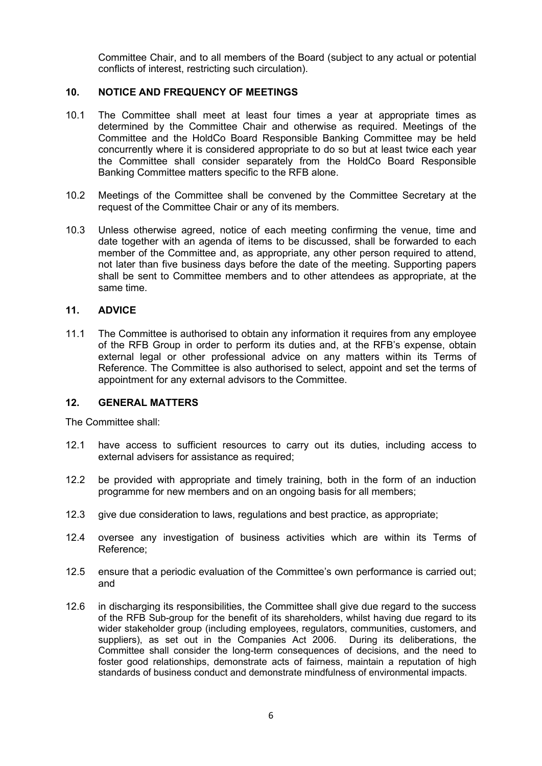Committee Chair, and to all members of the Board (subject to any actual or potential conflicts of interest, restricting such circulation).

### **10. NOTICE AND FREQUENCY OF MEETINGS**

- 10.1 The Committee shall meet at least four times a year at appropriate times as determined by the Committee Chair and otherwise as required. Meetings of the Committee and the HoldCo Board Responsible Banking Committee may be held concurrently where it is considered appropriate to do so but at least twice each year the Committee shall consider separately from the HoldCo Board Responsible Banking Committee matters specific to the RFB alone.
- 10.2 Meetings of the Committee shall be convened by the Committee Secretary at the request of the Committee Chair or any of its members.
- 10.3 Unless otherwise agreed, notice of each meeting confirming the venue, time and date together with an agenda of items to be discussed, shall be forwarded to each member of the Committee and, as appropriate, any other person required to attend, not later than five business days before the date of the meeting. Supporting papers shall be sent to Committee members and to other attendees as appropriate, at the same time.

### **11. ADVICE**

11.1 The Committee is authorised to obtain any information it requires from any employee of the RFB Group in order to perform its duties and, at the RFB's expense, obtain external legal or other professional advice on any matters within its Terms of Reference. The Committee is also authorised to select, appoint and set the terms of appointment for any external advisors to the Committee.

#### **12. GENERAL MATTERS**

The Committee shall:

- 12.1 have access to sufficient resources to carry out its duties, including access to external advisers for assistance as required:
- 12.2 be provided with appropriate and timely training, both in the form of an induction programme for new members and on an ongoing basis for all members;
- 12.3 give due consideration to laws, regulations and best practice, as appropriate;
- 12.4 oversee any investigation of business activities which are within its Terms of Reference;
- 12.5 ensure that a periodic evaluation of the Committee's own performance is carried out; and
- 12.6 in discharging its responsibilities, the Committee shall give due regard to the success of the RFB Sub-group for the benefit of its shareholders, whilst having due regard to its wider stakeholder group (including employees, regulators, communities, customers, and suppliers), as set out in the Companies Act 2006. During its deliberations, the Committee shall consider the long-term consequences of decisions, and the need to foster good relationships, demonstrate acts of fairness, maintain a reputation of high standards of business conduct and demonstrate mindfulness of environmental impacts.